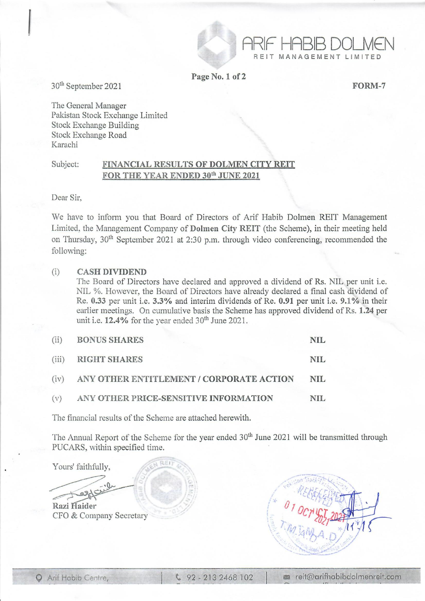

Page No. 1 of 2

FORM-7

ARIF HABIB DOLMEN MANAGEMENT LIMITED

30th September 2021

I

The General Manager Pakistan Stock Exchange Limited Stock Exchange Building Stock Exchange Road Karachi

## Subject: FINANCIAL RESULTS OF DOLMEN CITY REIT FOR THE YEAR ENDED 30<sup>th</sup> JUNE 2021

Dear Sir,

We have to inform you that Board of Directors of Arif Habib Dolmen REIT Management Limited, the Management Company of Dolmen City REIT (the Scheme), in their meeting held on Thursday, 30<sup>th</sup> September 2021 at 2:30 p.m. through video conferencing, recommended the following:

## (i) CASH DIVIDEND

The Board of Directors have declared and approved a dividend of Rs. NIL per unit i.e. NIL %. However, the Board of Directors have already declared a final cash dividend of Re. 0.33 per unit i.e. 3.3% and interim dividends of Re. 0.91 per unit i.e. 9.1% in their earlier meetings. On cumulative basis the Scheme has approved dividend of Rs. 1.24 per unit i.e.  $12.4\%$  for the year ended  $30<sup>th</sup>$  June 2021.

| (ii)  | <b>BONUS SHARES</b>                      | NIL. |
|-------|------------------------------------------|------|
| (iii) | <b>RIGHT SHARES</b>                      | NIL  |
| (iv)  | ANY OTHER ENTITLEMENT / CORPORATE ACTION | NIL. |
| (v)   | ANY OTHER PRICE-SENSITIVE INFORMATION    | NIL. |

The financial results of the Scheme are attached herewith.

RFI

The Annual Report of the Scheme for the year ended 30<sup>th</sup> June 2021 will be transmitted through PUCARS, within specified time.

Yours' faithfully,

?'~ Razi Haider CFO & Company Secretary